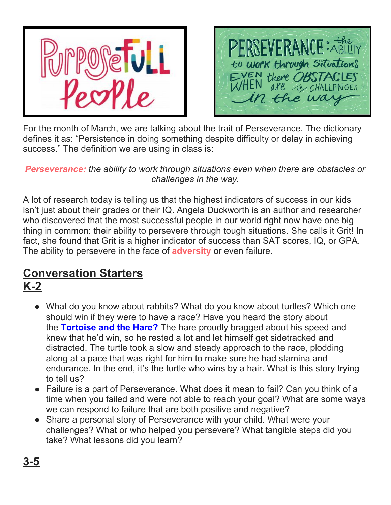



For the month of March, we are talking about the trait of Perseverance. The dictionary defines it as: "Persistence in doing something despite difficulty or delay in achieving success." The definition we are using in class is:

#### *Perseverance: the ability to work through situations even when there are obstacles or challenges in the way.*

A lot of research today is telling us that the highest indicators of success in our kids isn't just about their grades or their IQ. Angela Duckworth is an author and researcher who discovered that the most successful people in our world right now have one big thing in common: their ability to persevere through tough situations. She calls it Grit! In fact, she found that Grit is a higher indicator of success than SAT scores, IQ, or GPA. The ability to persevere in the face of **[adversity](https://curriculum.characterstrong.com/purposefull-equity-terms/#adversity)** or even failure.

### **Conversation Starters K-2**

- What do you know about rabbits? What do you know about turtles? Which one should win if they were to have a race? Have you heard the story about the **[Tortoise](https://www.youtube.com/watch?v=WF8iaqRqI60) and the Hare?** The hare proudly bragged about his speed and knew that he'd win, so he rested a lot and let himself get sidetracked and distracted. The turtle took a slow and steady approach to the race, plodding along at a pace that was right for him to make sure he had stamina and endurance. In the end, it's the turtle who wins by a hair. What is this story trying to tell us?
- Failure is a part of Perseverance. What does it mean to fail? Can you think of a time when you failed and were not able to reach your goal? What are some ways we can respond to failure that are both positive and negative?
- Share a personal story of Perseverance with your child. What were your challenges? What or who helped you persevere? What tangible steps did you take? What lessons did you learn?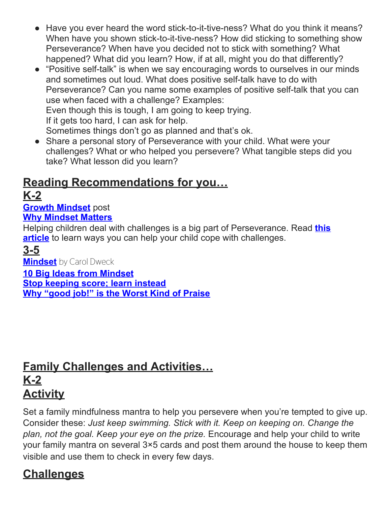- Have you ever heard the word stick-to-it-tive-ness? What do you think it means? When have you shown stick-to-it-tive-ness? How did sticking to something show Perseverance? When have you decided not to stick with something? What happened? What did you learn? How, if at all, might you do that differently?
- "Positive self-talk" is when we say encouraging words to ourselves in our minds and sometimes out loud. What does positive self-talk have to do with Perseverance? Can you name some examples of positive self-talk that you can use when faced with a challenge? Examples: Even though this is tough, I am going to keep trying. If it gets too hard, I can ask for help. Sometimes things don't go as planned and that's ok.
- Share a personal story of Perseverance with your child. What were your challenges? What or who helped you persevere? What tangible steps did you take? What lesson did you learn?

# **Reading Recommendations for you… K-2**

#### **Growth [Mindset](https://nobelcoaching.com/growth-mindset-power-yet/)** post **Why [Mindset](https://www.prosigndesignco.com/why-mindset-matters/) Matters**

Helping children deal with challenges is a big part of Perseverance. Read **[this](https://imperfectfamilies.com/raise-kid-can-cope-challenges/) [article](https://imperfectfamilies.com/raise-kid-can-cope-challenges/)** to learn ways you can help your child cope with challenges.

### **3-5**

**[Mindset](https://www.amazon.com/Mindset-Psychology-Carol-S-Dweck/dp/0345472322)** by Carol Dweck

**10 Big Ideas from [Mindset](http://sourcesofinsight.com/10-big-ideas-from-mindset-the-new-psychology-of-success/)**

**Stop [keeping](http://sourcesofinsight.com/growth-mindset-stop-keeping-score-learn-instead/) score; learn instead**

**Why "good job!" is the Worst Kind of [Praise](https://www.psychologytoday.com/us/blog/the-power-prime/200909/parenting-dont-praise-your-children)**

## **Family Challenges and Activities… K-2 Activity**

Set a family mindfulness mantra to help you persevere when you're tempted to give up. Consider these: *Just keep swimming. Stick with it. Keep on keeping on. Change the plan, not the goal. Keep your eye on the prize.* Encourage and help your child to write your family mantra on several 3×5 cards and post them around the house to keep them visible and use them to check in every few days.

# **Challenges**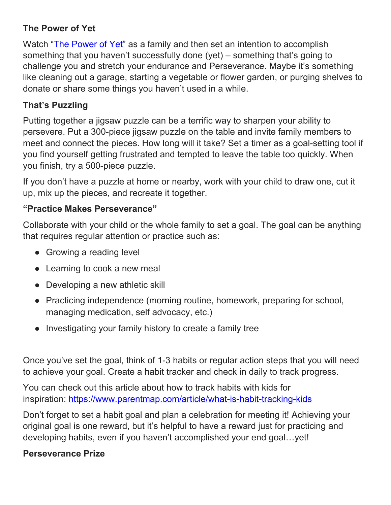#### **The Power of Yet**

Watch "The [Power](https://www.youtube.com/watch?v=XLeUvZvuvAs) of Yet" as a family and then set an intention to accomplish something that you haven't successfully done (yet) – something that's going to challenge you and stretch your endurance and Perseverance. Maybe it's something like cleaning out a garage, starting a vegetable or flower garden, or purging shelves to donate or share some things you haven't used in a while.

#### **That's Puzzling**

Putting together a jigsaw puzzle can be a terrific way to sharpen your ability to persevere. Put a 300-piece jigsaw puzzle on the table and invite family members to meet and connect the pieces. How long will it take? Set a timer as a goal-setting tool if you find yourself getting frustrated and tempted to leave the table too quickly. When you finish, try a 500-piece puzzle.

If you don't have a puzzle at home or nearby, work with your child to draw one, cut it up, mix up the pieces, and recreate it together.

#### **"Practice Makes Perseverance"**

Collaborate with your child or the whole family to set a goal. The goal can be anything that requires regular attention or practice such as:

- Growing a reading level
- Learning to cook a new meal
- Developing a new athletic skill
- Practicing independence (morning routine, homework, preparing for school, managing medication, self advocacy, etc.)
- Investigating your family history to create a family tree

Once you've set the goal, think of 1-3 habits or regular action steps that you will need to achieve your goal. Create a habit tracker and check in daily to track progress.

You can check out this article about how to track habits with kids for inspiration: <https://www.parentmap.com/article/what-is-habit-tracking-kids>

Don't forget to set a habit goal and plan a celebration for meeting it! Achieving your original goal is one reward, but it's helpful to have a reward just for practicing and developing habits, even if you haven't accomplished your end goal…yet!

#### **Perseverance Prize**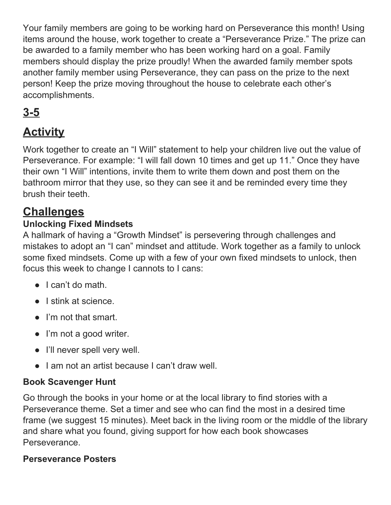Your family members are going to be working hard on Perseverance this month! Using items around the house, work together to create a "Perseverance Prize." The prize can be awarded to a family member who has been working hard on a goal. Family members should display the prize proudly! When the awarded family member spots another family member using Perseverance, they can pass on the prize to the next person! Keep the prize moving throughout the house to celebrate each other's accomplishments.

# **3-5**

# **Activity**

Work together to create an "I Will" statement to help your children live out the value of Perseverance. For example: "I will fall down 10 times and get up 11." Once they have their own "I Will" intentions, invite them to write them down and post them on the bathroom mirror that they use, so they can see it and be reminded every time they brush their teeth.

## **Challenges**

### **Unlocking Fixed Mindsets**

A hallmark of having a "Growth Mindset" is persevering through challenges and mistakes to adopt an "I can" mindset and attitude. Work together as a family to unlock some fixed mindsets. Come up with a few of your own fixed mindsets to unlock, then focus this week to change I cannots to I cans:

- I can't do math.
- I stink at science.
- I'm not that smart.
- I'm not a good writer.
- I'll never spell very well.
- Lam not an artist because Lean't draw well.

### **Book Scavenger Hunt**

Go through the books in your home or at the local library to find stories with a Perseverance theme. Set a timer and see who can find the most in a desired time frame (we suggest 15 minutes). Meet back in the living room or the middle of the library and share what you found, giving support for how each book showcases Perseverance.

#### **Perseverance Posters**